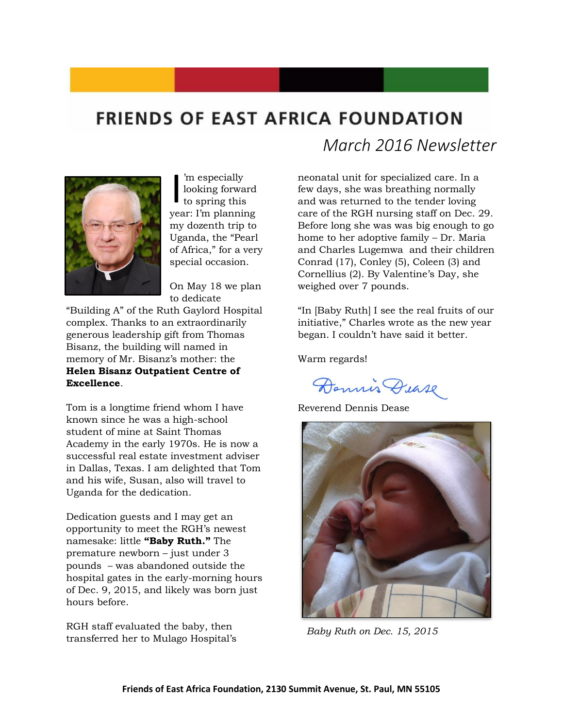# **FRIENDS OF EAST AFRICA FOUNDATION**



'm especially looking forward to spring this I'm especially<br>looking forward<br>to spring this<br>year: I'm planning my dozenth trip to Uganda, the "Pearl of Africa," for a very special occasion.

On May 18 we plan to dedicate

"Building A" of the Ruth Gaylord Hospital complex. Thanks to an extraordinarily generous leadership gift from Thomas Bisanz, the building will named in memory of Mr. Bisanz's mother: the **Helen Bisanz Outpatient Centre of Excellence**.

Tom is a longtime friend whom I have known since he was a high-school student of mine at Saint Thomas Academy in the early 1970s. He is now a successful real estate investment adviser in Dallas, Texas. I am delighted that Tom and his wife, Susan, also will travel to Uganda for the dedication.

Dedication guests and I may get an opportunity to meet the RGH's newest namesake: little **"Baby Ruth."** The premature newborn – just under 3 pounds – was abandoned outside the hospital gates in the early-morning hours of Dec. 9, 2015, and likely was born just hours before.

RGH staff evaluated the baby, then transferred her to Mulago Hospital's  *March 2016 Newsletter*

neonatal unit for specialized care. In a few days, she was breathing normally and was returned to the tender loving care of the RGH nursing staff on Dec. 29. Before long she was was big enough to go home to her adoptive family – Dr. Maria and Charles Lugemwa and their children Conrad (17), Conley (5), Coleen (3) and Cornellius (2). By Valentine's Day, she weighed over 7 pounds.

"In [Baby Ruth] I see the real fruits of our initiative," Charles wrote as the new year began. I couldn't have said it better.

Warm regards!

Dennis Dease

Reverend Dennis Dease



 *Baby Ruth on Dec. 15, 2015*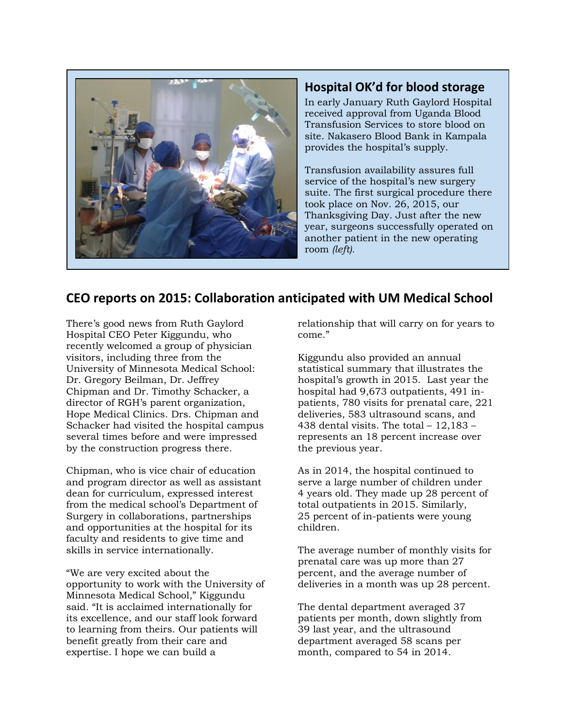

#### **Hospital OK'd for blood storage**

In early January Ruth Gaylord Hospital received approval from Uganda Blood Transfusion Services to store blood on site. Nakasero Blood Bank in Kampala provides the hospital's supply.

Transfusion availability assures full service of the hospital's new surgery suite. The first surgical procedure there took place on Nov. 26, 2015, our Thanksgiving Day. Just after the new year, surgeons successfully operated on another patient in the new operating room *(left).*

### **CEO reports on 2015: Collaboration anticipated with UM Medical School**

There's good news from Ruth Gaylord Hospital CEO Peter Kiggundu, who recently welcomed a group of physician visitors, including three from the University of Minnesota Medical School: Dr. Gregory Beilman, Dr. Jeffrey Chipman and Dr. Timothy Schacker, a director of RGH's parent organization, Hope Medical Clinics. Drs. Chipman and Schacker had visited the hospital campus several times before and were impressed by the construction progress there.

Chipman, who is vice chair of education and program director as well as assistant dean for curriculum, expressed interest from the medical school's Department of Surgery in collaborations, partnerships and opportunities at the hospital for its faculty and residents to give time and skills in service internationally.

"We are very excited about the opportunity to work with the University of Minnesota Medical School," Kiggundu said. "It is acclaimed internationally for its excellence, and our staff look forward to learning from theirs. Our patients will benefit greatly from their care and expertise. I hope we can build a

relationship that will carry on for years to come."

Kiggundu also provided an annual statistical summary that illustrates the hospital's growth in 2015. Last year the hospital had 9,673 outpatients, 491 inpatients, 780 visits for prenatal care, 221 deliveries, 583 ultrasound scans, and 438 dental visits. The total  $-12,183$ represents an 18 percent increase over the previous year.

As in 2014, the hospital continued to serve a large number of children under 4 years old. They made up 28 percent of total outpatients in 2015. Similarly, 25 percent of in-patients were young children.

The average number of monthly visits for prenatal care was up more than 27 percent, and the average number of deliveries in a month was up 28 percent.

The dental department averaged 37 patients per month, down slightly from 39 last year, and the ultrasound department averaged 58 scans per month, compared to 54 in 2014.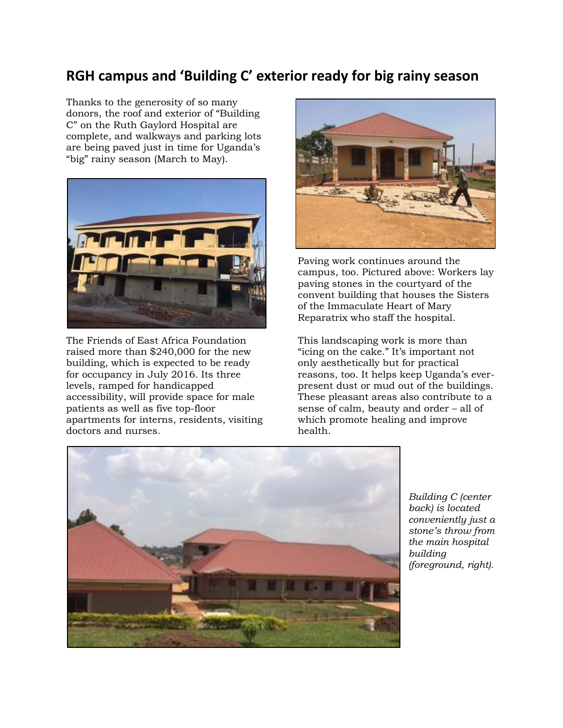### **RGH campus and 'Building C' exterior ready for big rainy season**

Thanks to the generosity of so many donors, the roof and exterior of "Building C" on the Ruth Gaylord Hospital are complete, and walkways and parking lots are being paved just in time for Uganda's "big" rainy season (March to May).



The Friends of East Africa Foundation raised more than \$240,000 for the new building, which is expected to be ready for occupancy in July 2016. Its three levels, ramped for handicapped accessibility, will provide space for male patients as well as five top-floor apartments for interns, residents, visiting doctors and nurses.



Paving work continues around the campus, too. Pictured above: Workers lay paving stones in the courtyard of the convent building that houses the Sisters of the Immaculate Heart of Mary Reparatrix who staff the hospital.

This landscaping work is more than "icing on the cake." It's important not only aesthetically but for practical reasons, too. It helps keep Uganda's everpresent dust or mud out of the buildings. These pleasant areas also contribute to a sense of calm, beauty and order – all of which promote healing and improve health.



*Building C (center back) is located conveniently just a stone's throw from the main hospital building (foreground, right).*